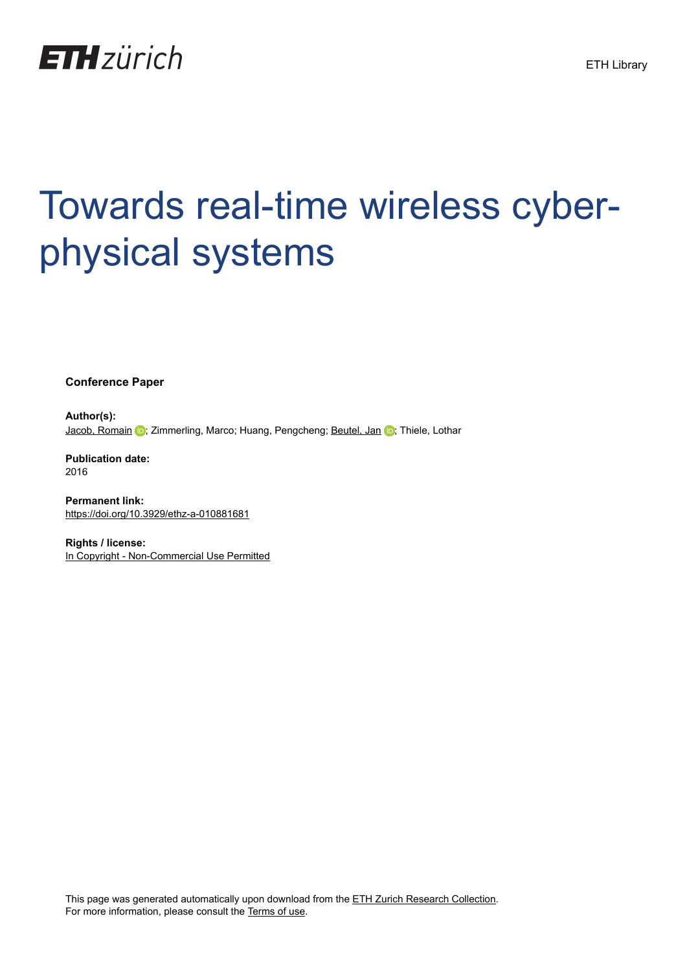

# Towards real-time wireless cyberphysical systems

**Conference Paper**

**Author(s):** [Jacob, Romain](https://orcid.org/0000-0002-2218-5750) (b); Zimmerling, Marco; Huang, Pengcheng; [Beutel, Jan](https://orcid.org/0000-0003-0879-2455) (b); Thiele, Lothar

**Publication date:** 2016

**Permanent link:** <https://doi.org/10.3929/ethz-a-010881681>

**Rights / license:** [In Copyright - Non-Commercial Use Permitted](http://rightsstatements.org/page/InC-NC/1.0/)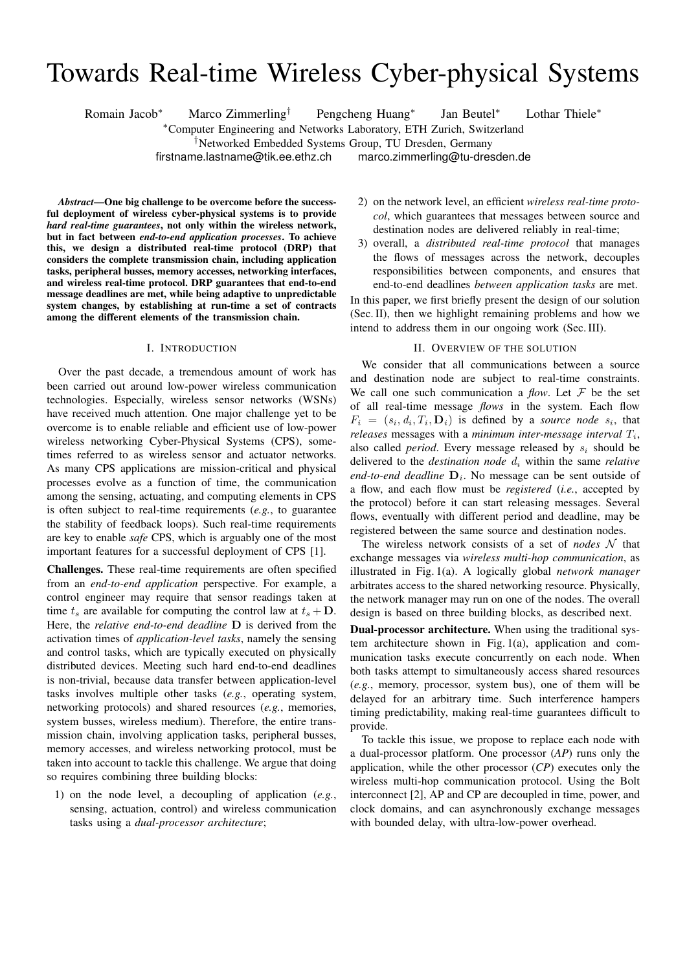# Towards Real-time Wireless Cyber-physical Systems

Romain Jacob<sup>∗</sup> Marco Zimmerling† Pengcheng Huang<sup>∗</sup>

Jan Beutel<sup>∗</sup> Lothar Thiele<sup>∗</sup>

<sup>∗</sup>Computer Engineering and Networks Laboratory, ETH Zurich, Switzerland

†Networked Embedded Systems Group, TU Dresden, Germany

firstname.lastname@tik.ee.ethz.ch marco.zimmerling@tu-dresden.de

*Abstract*—One big challenge to be overcome before the successful deployment of wireless cyber-physical systems is to provide *hard real-time guarantees*, not only within the wireless network, but in fact between *end-to-end application processes*. To achieve this, we design a distributed real-time protocol (DRP) that considers the complete transmission chain, including application tasks, peripheral busses, memory accesses, networking interfaces, and wireless real-time protocol. DRP guarantees that end-to-end message deadlines are met, while being adaptive to unpredictable system changes, by establishing at run-time a set of contracts among the different elements of the transmission chain.

### I. INTRODUCTION

Over the past decade, a tremendous amount of work has been carried out around low-power wireless communication technologies. Especially, wireless sensor networks (WSNs) have received much attention. One major challenge yet to be overcome is to enable reliable and efficient use of low-power wireless networking Cyber-Physical Systems (CPS), sometimes referred to as wireless sensor and actuator networks. As many CPS applications are mission-critical and physical processes evolve as a function of time, the communication among the sensing, actuating, and computing elements in CPS is often subject to real-time requirements (*e.g.*, to guarantee the stability of feedback loops). Such real-time requirements are key to enable *safe* CPS, which is arguably one of the most important features for a successful deployment of CPS [1].

Challenges. These real-time requirements are often specified from an *end-to-end application* perspective. For example, a control engineer may require that sensor readings taken at time  $t_s$  are available for computing the control law at  $t_s + D$ . Here, the *relative end-to-end deadline* D is derived from the activation times of *application-level tasks*, namely the sensing and control tasks, which are typically executed on physically distributed devices. Meeting such hard end-to-end deadlines is non-trivial, because data transfer between application-level tasks involves multiple other tasks (*e.g.*, operating system, networking protocols) and shared resources (*e.g.*, memories, system busses, wireless medium). Therefore, the entire transmission chain, involving application tasks, peripheral busses, memory accesses, and wireless networking protocol, must be taken into account to tackle this challenge. We argue that doing so requires combining three building blocks:

1) on the node level, a decoupling of application (*e.g.*, sensing, actuation, control) and wireless communication tasks using a *dual-processor architecture*;

- 2) on the network level, an efficient *wireless real-time protocol*, which guarantees that messages between source and destination nodes are delivered reliably in real-time;
- 3) overall, a *distributed real-time protocol* that manages the flows of messages across the network, decouples responsibilities between components, and ensures that end-to-end deadlines *between application tasks* are met.

In this paper, we first briefly present the design of our solution (Sec. II), then we highlight remaining problems and how we intend to address them in our ongoing work (Sec. III).

# II. OVERVIEW OF THE SOLUTION

We consider that all communications between a source and destination node are subject to real-time constraints. We call one such communication a *flow*. Let  $\mathcal F$  be the set of all real-time message *flows* in the system. Each flow  $F_i = (s_i, d_i, T_i, D_i)$  is defined by a *source node*  $s_i$ , that *releases* messages with a *minimum inter-message interval*  $T_i$ , also called *period*. Every message released by  $s_i$  should be delivered to the *destination node*  $d_i$  within the same *relative* end-to-end deadline  $D_i$ . No message can be sent outside of a flow, and each flow must be *registered* (*i.e.*, accepted by the protocol) before it can start releasing messages. Several flows, eventually with different period and deadline, may be registered between the same source and destination nodes.

The wireless network consists of a set of *nodes* N that exchange messages via *wireless multi-hop communication*, as illustrated in Fig. 1(a). A logically global *network manager* arbitrates access to the shared networking resource. Physically, the network manager may run on one of the nodes. The overall design is based on three building blocks, as described next.

Dual-processor architecture. When using the traditional system architecture shown in Fig. 1(a), application and communication tasks execute concurrently on each node. When both tasks attempt to simultaneously access shared resources (*e.g.*, memory, processor, system bus), one of them will be delayed for an arbitrary time. Such interference hampers timing predictability, making real-time guarantees difficult to provide.

To tackle this issue, we propose to replace each node with a dual-processor platform. One processor (*AP*) runs only the application, while the other processor (*CP*) executes only the wireless multi-hop communication protocol. Using the Bolt interconnect [2], AP and CP are decoupled in time, power, and clock domains, and can asynchronously exchange messages with bounded delay, with ultra-low-power overhead.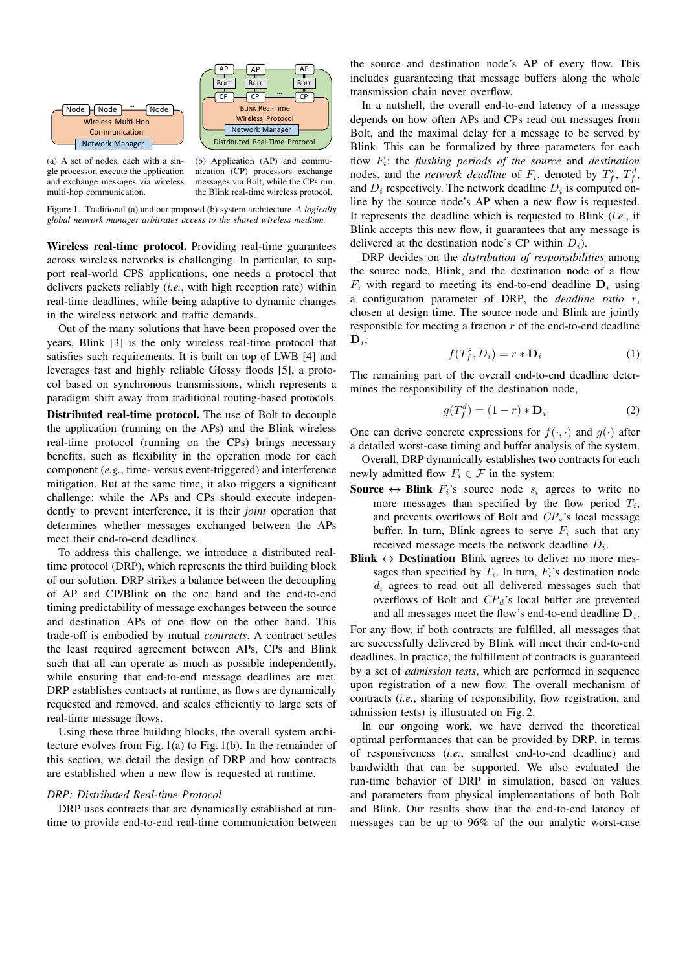

(a) A set of nodes, each with a single processor, execute the application and exchange messages via wireless multi-hop communication.

(b) Application (AP) and communication (CP) processors exchange messages via Bolt, while the CPs run the Blink real-time wireless protocol.

Figure 1. Traditional (a) and our proposed (b) system architecture. *A logically global network manager arbitrates access to the shared wireless medium.*

Wireless real-time protocol. Providing real-time guarantees across wireless networks is challenging. In particular, to support real-world CPS applications, one needs a protocol that delivers packets reliably (*i.e.*, with high reception rate) within real-time deadlines, while being adaptive to dynamic changes in the wireless network and traffic demands.

Out of the many solutions that have been proposed over the years, Blink [3] is the only wireless real-time protocol that satisfies such requirements. It is built on top of LWB [4] and leverages fast and highly reliable Glossy floods [5], a protocol based on synchronous transmissions, which represents a paradigm shift away from traditional routing-based protocols.

Distributed real-time protocol. The use of Bolt to decouple the application (running on the APs) and the Blink wireless real-time protocol (running on the CPs) brings necessary benefits, such as flexibility in the operation mode for each component (*e.g.*, time- versus event-triggered) and interference mitigation. But at the same time, it also triggers a significant challenge: while the APs and CPs should execute independently to prevent interference, it is their *joint* operation that determines whether messages exchanged between the APs meet their end-to-end deadlines.

To address this challenge, we introduce a distributed realtime protocol (DRP), which represents the third building block of our solution. DRP strikes a balance between the decoupling of AP and CP/Blink on the one hand and the end-to-end timing predictability of message exchanges between the source and destination APs of one flow on the other hand. This trade-off is embodied by mutual *contracts*. A contract settles the least required agreement between APs, CPs and Blink such that all can operate as much as possible independently, while ensuring that end-to-end message deadlines are met. DRP establishes contracts at runtime, as flows are dynamically requested and removed, and scales efficiently to large sets of real-time message flows.

Using these three building blocks, the overall system architecture evolves from Fig. 1(a) to Fig. 1(b). In the remainder of this section, we detail the design of DRP and how contracts are established when a new flow is requested at runtime.

#### *DRP: Distributed Real-time Protocol*

DRP uses contracts that are dynamically established at runtime to provide end-to-end real-time communication between

the source and destination node's AP of every flow. This includes guaranteeing that message buffers along the whole transmission chain never overflow.

In a nutshell, the overall end-to-end latency of a message depends on how often APs and CPs read out messages from Bolt, and the maximal delay for a message to be served by Blink. This can be formalized by three parameters for each flow F<sup>i</sup> : the *flushing periods of the source* and *destination* nodes, and the *network deadline* of  $F_i$ , denoted by  $T_f^s$ ,  $T_f^d$ , and  $D_i$  respectively. The network deadline  $D_i$  is computed online by the source node's AP when a new flow is requested. It represents the deadline which is requested to Blink (*i.e.*, if Blink accepts this new flow, it guarantees that any message is delivered at the destination node's CP within  $D_i$ ).

DRP decides on the *distribution of responsibilities* among the source node, Blink, and the destination node of a flow  $F_i$  with regard to meeting its end-to-end deadline  $D_i$  using a configuration parameter of DRP, the *deadline ratio* r, chosen at design time. The source node and Blink are jointly responsible for meeting a fraction  $r$  of the end-to-end deadline  $\mathbf{D}_i$ 

$$
f(T_f^s, D_i) = r * \mathbf{D}_i \tag{1}
$$

The remaining part of the overall end-to-end deadline determines the responsibility of the destination node,

$$
g(T_f^d) = (1 - r) * \mathbf{D}_i
$$
 (2)

One can derive concrete expressions for  $f(\cdot, \cdot)$  and  $g(\cdot)$  after a detailed worst-case timing and buffer analysis of the system.

Overall, DRP dynamically establishes two contracts for each newly admitted flow  $F_i \in \mathcal{F}$  in the system:

- **Source**  $\leftrightarrow$  **Blink**  $F_i$ 's source node  $s_i$  agrees to write no more messages than specified by the flow period  $T_i$ , and prevents overflows of Bolt and  $CP_s$ 's local message buffer. In turn, Blink agrees to serve  $F_i$  such that any received message meets the network deadline  $D_i$ .
- Blink  $\leftrightarrow$  Destination Blink agrees to deliver no more messages than specified by  $T_i$ . In turn,  $F_i$ 's destination node  $d_i$  agrees to read out all delivered messages such that overflows of Bolt and  $CP<sub>d</sub>$ 's local buffer are prevented and all messages meet the flow's end-to-end deadline  $D_i$ .

For any flow, if both contracts are fulfilled, all messages that are successfully delivered by Blink will meet their end-to-end deadlines. In practice, the fulfillment of contracts is guaranteed by a set of *admission tests*, which are performed in sequence upon registration of a new flow. The overall mechanism of contracts (*i.e.*, sharing of responsibility, flow registration, and admission tests) is illustrated on Fig. 2.

In our ongoing work, we have derived the theoretical optimal performances that can be provided by DRP, in terms of responsiveness (*i.e.*, smallest end-to-end deadline) and bandwidth that can be supported. We also evaluated the run-time behavior of DRP in simulation, based on values and parameters from physical implementations of both Bolt and Blink. Our results show that the end-to-end latency of messages can be up to 96% of the our analytic worst-case